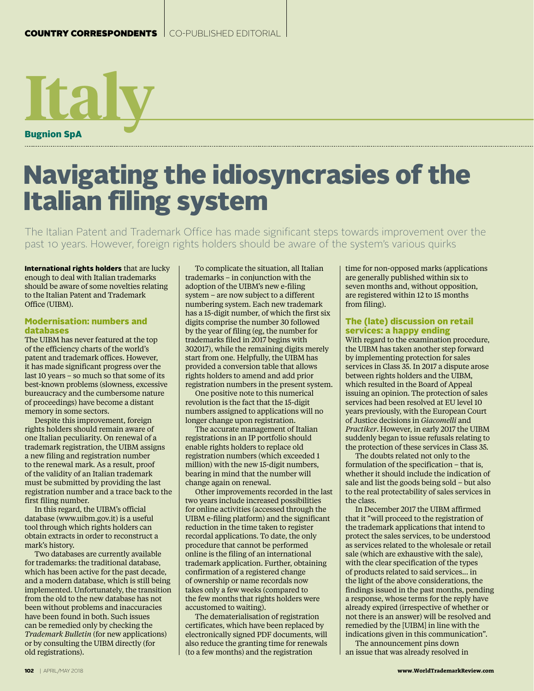

# Navigating the idiosyncrasies of the Italian filing system

The Italian Patent and Trademark Office has made significant steps towards improvement over the past 10 years. However, foreign rights holders should be aware of the system's various quirks

International rights holders that are lucky enough to deal with Italian trademarks should be aware of some novelties relating to the Italian Patent and Trademark Office (UIBM).

#### Modernisation: numbers and databases

The UIBM has never featured at the top of the efficiency charts of the world's patent and trademark offices. However, it has made significant progress over the last 10 years – so much so that some of its best-known problems (slowness, excessive bureaucracy and the cumbersome nature of proceedings) have become a distant memory in some sectors.

Despite this improvement, foreign rights holders should remain aware of one Italian peculiarity. On renewal of a trademark registration, the UIBM assigns a new filing and registration number to the renewal mark. As a result, proof of the validity of an Italian trademark must be submitted by providing the last registration number and a trace back to the first filing number.

In this regard, the UIBM's official database (www.uibm.gov.it) is a useful tool through which rights holders can obtain extracts in order to reconstruct a mark's history.

Two databases are currently available for trademarks: the traditional database, which has been active for the past decade, and a modern database, which is still being implemented. Unfortunately, the transition from the old to the new database has not been without problems and inaccuracies have been found in both. Such issues can be remedied only by checking the *Trademark Bulletin* (for new applications) or by consulting the UIBM directly (for old registrations).

To complicate the situation, all Italian trademarks – in conjunction with the adoption of the UIBM's new e-filing system – are now subject to a different numbering system. Each new trademark has a 15-digit number, of which the first six digits comprise the number 30 followed by the year of filing (eg, the number for trademarks filed in 2017 begins with 302017), while the remaining digits merely start from one. Helpfully, the UIBM has provided a conversion table that allows rights holders to amend and add prior registration numbers in the present system.

One positive note to this numerical revolution is the fact that the 15-digit numbers assigned to applications will no longer change upon registration.

The accurate management of Italian registrations in an IP portfolio should enable rights holders to replace old registration numbers (which exceeded 1 million) with the new 15-digit numbers, bearing in mind that the number will change again on renewal.

Other improvements recorded in the last two years include increased possibilities for online activities (accessed through the UIBM e-filing platform) and the significant reduction in the time taken to register recordal applications. To date, the only procedure that cannot be performed online is the filing of an international trademark application. Further, obtaining confirmation of a registered change of ownership or name recordals now takes only a few weeks (compared to the few months that rights holders were accustomed to waiting).

The dematerialisation of registration certificates, which have been replaced by electronically signed PDF documents, will also reduce the granting time for renewals (to a few months) and the registration

time for non-opposed marks (applications are generally published within six to seven months and, without opposition, are registered within 12 to 15 months from filing).

### The (late) discussion on retail services: a happy ending

With regard to the examination procedure, the UIBM has taken another step forward by implementing protection for sales services in Class 35. In 2017 a dispute arose between rights holders and the UIBM, which resulted in the Board of Appeal issuing an opinion. The protection of sales services had been resolved at EU level 10 years previously, with the European Court of Justice decisions in *Giacomelli* and *Practiker*. However, in early 2017 the UIBM suddenly began to issue refusals relating to the protection of these services in Class 35.

The doubts related not only to the formulation of the specification – that is, whether it should include the indication of sale and list the goods being sold – but also to the real protectability of sales services in the class.

In December 2017 the UIBM affirmed that it "will proceed to the registration of the trademark applications that intend to protect the sales services, to be understood as services related to the wholesale or retail sale (which are exhaustive with the sale), with the clear specification of the types of products related to said services... in the light of the above considerations, the findings issued in the past months, pending a response, whose terms for the reply have already expired (irrespective of whether or not there is an answer) will be resolved and remedied by the [UIBM] in line with the indications given in this communication".

The announcement pins down an issue that was already resolved in